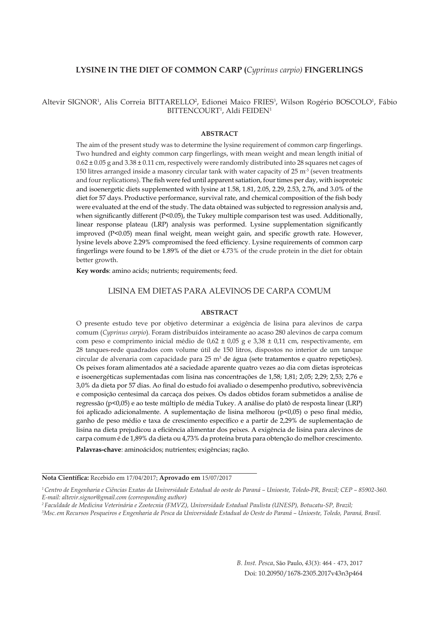### **LYSINE IN THE DIET OF COMMON CARP (***Cyprinus carpio)* **FINGERLINGS**

Altevir SIGNOR<sup>1</sup>, Alis Correia BITTARELLO<sup>2</sup>, Edionei Maico FRIES<sup>3</sup>, Wilson Rogério BOSCOLO<sup>1</sup>, Fábio BITTENCOURT<sup>1</sup>, Aldi FEIDEN<sup>1</sup>

#### **ABSTRACT**

The aim of the present study was to determine the lysine requirement of common carp fingerlings. Two hundred and eighty common carp fingerlings, with mean weight and mean length initial of  $0.62 \pm 0.05$  g and  $3.38 \pm 0.11$  cm, respectively were randomly distributed into 28 squares net cages of 150 litres arranged inside a masonry circular tank with water capacity of  $25 \text{ m}^3$  (seven treatments and four replications). The fish were fed until apparent satiation, four times per day, with isoproteic and isoenergetic diets supplemented with lysine at 1.58, 1.81, 2.05, 2.29, 2.53, 2.76, and 3.0% of the diet for 57 days. Productive performance, survival rate, and chemical composition of the fish body were evaluated at the end of the study. The data obtained was subjected to regression analysis and, when significantly different (P<0.05), the Tukey multiple comparison test was used. Additionally, linear response plateau (LRP) analysis was performed. Lysine supplementation significantly improved (P<0.05) mean final weight, mean weight gain, and specific growth rate. However, lysine levels above 2.29% compromised the feed efficiency. Lysine requirements of common carp fingerlings were found to be 1.89% of the diet or 4.73% of the crude protein in the diet for obtain better growth.

**Key words**: amino acids; nutrients; requirements; feed.

## LISINA EM DIETAS PARA ALEVINOS DE CARPA COMUM

#### **ABSTRACT**

O presente estudo teve por objetivo determinar a exigência de lisina para alevinos de carpa comum (*Cyprinus carpio*). Foram distribuídos inteiramente ao acaso 280 alevinos de carpa comum com peso e comprimento inicial médio de  $0.62 \pm 0.05$  g e  $3.38 \pm 0.11$  cm, respectivamente, em 28 tanques-rede quadrados com volume útil de 150 litros, dispostos no interior de um tanque circular de alvenaria com capacidade para 25 m<sup>3</sup> de água (sete tratamentos e quatro repetições). Os peixes foram alimentados até a saciedade aparente quatro vezes ao dia com dietas isproteicas e isoenergéticas suplementadas com lisina nas concentrações de 1,58; 1,81; 2,05; 2,29; 2,53; 2,76 e 3,0% da dieta por 57 dias. Ao final do estudo foi avaliado o desempenho produtivo, sobrevivência e composição centesimal da carcaça dos peixes. Os dados obtidos foram submetidos a análise de regressão (p<0,05) e ao teste múltiplo de média Tukey. A análise do platô de resposta linear (LRP) foi aplicado adicionalmente. A suplementação de lisina melhorou (p<0,05) o peso final médio, ganho de peso médio e taxa de crescimento específico e a partir de 2,29% de suplementação de lisina na dieta prejudicou a eficiência alimentar dos peixes. A exigência de lisina para alevinos de carpa comum é de 1,89% da dieta ou 4,73% da proteína bruta para obtenção do melhor crescimento.

**Palavras-chave**: aminoácidos; nutrientes; exigências; ração.

**Nota Científica:** Recebido em 17/04/2017; **Aprovado em** 15/07/2017

*<sup>1</sup> Centro de Engenharia e Ciências Exatas da Universidade Estadual do oeste do Paraná – Unioeste, Toledo-PR, Brazil; CEP – 85902-360. E-mail: altevir.signor@gmail.com (corresponding author)* 

*<sup>2</sup> Faculdade de Medicina Veterinária e Zootecnia (FMVZ), Universidade Estadual Paulista (UNESP), Botucatu-SP, Brazil; 3 Msc.em Recursos Pesqueiros e Engenharia de Pesca da Universidade Estadual do Oeste do Paraná – Unioeste, Toledo, Paraná, Brasil.*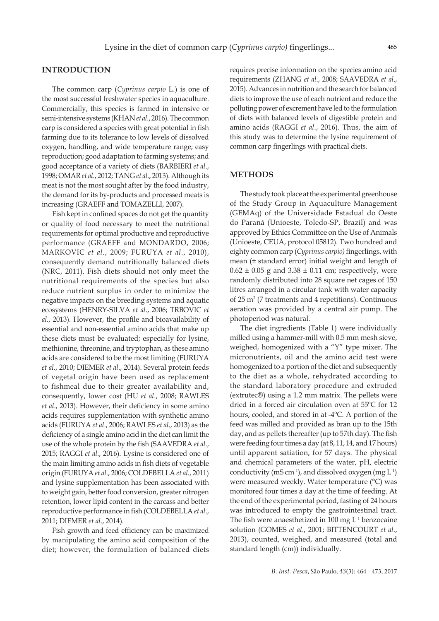#### **INTRODUCTION**

The common carp (*Cyprinus carpio* L.) is one of the most successful freshwater species in aquaculture. Commercially, this species is farmed in intensive or semi-intensive systems (KHAN *et al*., 2016). The common carp is considered a species with great potential in fish farming due to its tolerance to low levels of dissolved oxygen, handling, and wide temperature range; easy reproduction; good adaptation to farming systems; and good acceptance of a variety of diets (BARBIERI *et al*., 1998; OMAR *et al*., 2012; TANG *et al*., 2013). Although its meat is not the most sought after by the food industry, the demand for its by-products and processed meats is increasing (GRAEFF and TOMAZELLI, 2007).

Fish kept in confined spaces do not get the quantity or quality of food necessary to meet the nutritional requirements for optimal productive and reproductive performance (GRAEFF and MONDARDO, 2006; MARKOVIC *et al*., 2009; FURUYA *et al*., 2010), consequently demand nutritionally balanced diets (NRC, 2011). Fish diets should not only meet the nutritional requirements of the species but also reduce nutrient surplus in order to minimize the negative impacts on the breeding systems and aquatic ecosystems (HENRY-SILVA *et al*., 2006; TRBOVIC *et al*., 2013). However, the profile and bioavailability of essential and non-essential amino acids that make up these diets must be evaluated; especially for lysine, methionine, threonine, and tryptophan, as these amino acids are considered to be the most limiting (FURUYA *et al*., 2010; DIEMER *et al*., 2014). Several protein feeds of vegetal origin have been used as replacement to fishmeal due to their greater availability and, consequently, lower cost (HU *et al*., 2008; RAWLES *et al*., 2013). However, their deficiency in some amino acids requires supplementation with synthetic amino acids (FURUYA *et al*., 2006; RAWLES *et al*., 2013) as the deficiency of a single amino acid in the diet can limit the use of the whole protein by the fish (SAAVEDRA *et al*., 2015; RAGGI *et al*., 2016). Lysine is considered one of the main limiting amino acids in fish diets of vegetable origin (FURUYA *et al*., 2006; COLDEBELLA *et al*., 2011) and lysine supplementation has been associated with to weight gain, better food conversion, greater nitrogen retention, lower lipid content in the carcass and better reproductive performance in fish (COLDEBELLA *et al*., 2011; DIEMER *et al*., 2014).

Fish growth and feed efficiency can be maximized by manipulating the amino acid composition of the diet; however, the formulation of balanced diets requires precise information on the species amino acid requirements (ZHANG *et al*., 2008; SAAVEDRA *et al*., 2015). Advances in nutrition and the search for balanced diets to improve the use of each nutrient and reduce the polluting power of excrement have led to the formulation of diets with balanced levels of digestible protein and amino acids (RAGGI *et al*., 2016). Thus, the aim of this study was to determine the lysine requirement of common carp fingerlings with practical diets.

#### **METHODS**

The study took place at the experimental greenhouse of the Study Group in Aquaculture Management (GEMAq) of the Universidade Estadual do Oeste do Paraná (Unioeste, Toledo-SP, Brazil) and was approved by Ethics Committee on the Use of Animals (Unioeste, CEUA, protocol 05812). Two hundred and eighty common carp (*Cyprinus carpio)* fingerlings, with mean (± standard error) initial weight and length of  $0.62 \pm 0.05$  g and  $3.38 \pm 0.11$  cm; respectively, were randomly distributed into 28 square net cages of 150 litres arranged in a circular tank with water capacity of 25 m3 (7 treatments and 4 repetitions). Continuous aeration was provided by a central air pump. The photoperiod was natural.

The diet ingredients (Table 1) were individually milled using a hammer-mill with 0.5 mm mesh sieve, weighed, homogenized with a "Y" type mixer. The micronutrients, oil and the amino acid test were homogenized to a portion of the diet and subsequently to the diet as a whole, rehydrated according to the standard laboratory procedure and extruded (extrutec®) using a 1.2 mm matrix. The pellets were dried in a forced air circulation oven at 55ºC for 12 hours, cooled, and stored in at -4ºC. A portion of the feed was milled and provided as bran up to the 15th day, and as pellets thereafter (up to 57th day). The fish were feeding four times a day (at 8, 11, 14, and 17 hours) until apparent satiation, for 57 days. The physical and chemical parameters of the water, pH, electric conductivity (mS cm<sup>-1</sup>), and dissolved oxygen (mg  $L^{-1}$ ) were measured weekly. Water temperature (°C) was monitored four times a day at the time of feeding. At the end of the experimental period, fasting of 24 hours was introduced to empty the gastrointestinal tract. The fish were anaesthetized in 100 mg L<sup>-1</sup> benzocaine solution (GOMES *et al*., 2001; BITTENCOURT *et al*., 2013), counted, weighed, and measured (total and standard length (cm)) individually.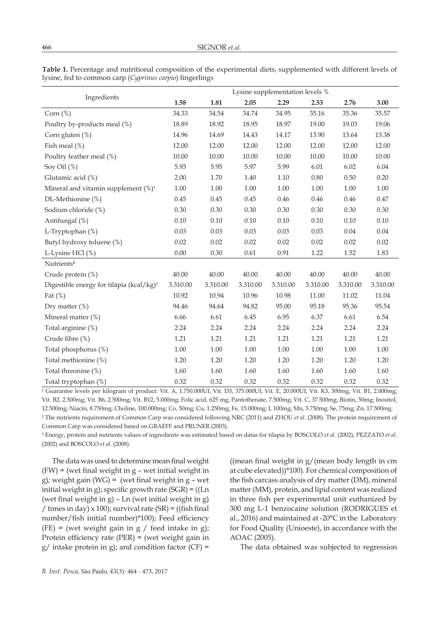| Ingredients                                          | Lysine supplementation levels % |          |          |          |          |          |          |  |
|------------------------------------------------------|---------------------------------|----------|----------|----------|----------|----------|----------|--|
|                                                      | 1.58                            | 1.81     | 2.05     | 2.29     | 2.53     | 2.76     | 3.00     |  |
| Corn $(\%)$                                          | 34.33                           | 34.54    | 34.74    | 34.95    | 35.16    | 35.36    | 35.57    |  |
| Poultry by-products meal (%)                         | 18.89                           | 18.92    | 18.95    | 18.97    | 19.00    | 19.03    | 19.06    |  |
| Corn gluten $(\%)$                                   | 14.96                           | 14.69    | 14.43    | 14.17    | 13.90    | 13.64    | 13.38    |  |
| Fish meal $(\%)$                                     | 12.00                           | 12.00    | 12.00    | 12.00    | 12.00    | 12.00    | 12.00    |  |
| Poultry feather meal (%)                             | 10.00                           | 10.00    | 10.00    | 10.00    | 10.00    | 10.00    | 10.00    |  |
| Soy Oil (%)                                          | 5.93                            | 5.95     | 5.97     | 5.99     | 6.01     | 6.02     | 6.04     |  |
| Glutamic acid (%)                                    | 2.00                            | 1.70     | 1.40     | 1.10     | 0.80     | 0.50     | 0.20     |  |
| Mineral and vitamin supplement $(\%)^1$              | 1.00                            | 1.00     | 1.00     | 1.00     | 1.00     | 1.00     | $1.00\,$ |  |
| DL-Methionine (%)                                    | 0.45                            | 0.45     | 0.45     | 0.46     | 0.46     | 0.46     | 0.47     |  |
| Sodium chloride (%)                                  | 0.30                            | 0.30     | 0.30     | 0.30     | 0.30     | 0.30     | 0.30     |  |
| Antifungal (%)                                       | 0.10                            | 0.10     | 0.10     | 0.10     | 0.10     | 0.10     | 0.10     |  |
| L-Tryptophan (%)                                     | 0.03                            | 0.03     | 0.03     | 0.03     | 0.03     | 0.04     | 0.04     |  |
| Butyl hydroxy toluene (%)                            | 0.02                            | 0.02     | 0.02     | 0.02     | 0.02     | 0.02     | 0.02     |  |
| L-Lysine HCl (%)                                     | $0.00\,$                        | 0.30     | 0.61     | 0.91     | 1.22     | 1.52     | 1.83     |  |
| Nutrients <sup>2</sup>                               |                                 |          |          |          |          |          |          |  |
| Crude protein (%)                                    | 40.00                           | 40.00    | 40.00    | 40.00    | 40.00    | 40.00    | 40.00    |  |
| Digestible energy for tilápia (kcal/kg) <sup>3</sup> | 3.310.00                        | 3.310.00 | 3.310.00 | 3.310.00 | 3.310.00 | 3.310.00 | 3.310.00 |  |
| Fat $(\%)$                                           | 10.92                           | 10.94    | 10.96    | 10.98    | 11.00    | 11.02    | 11.04    |  |
| Dry matter $(\%)$                                    | 94.46                           | 94.64    | 94.82    | 95.00    | 95.18    | 95.36    | 95.54    |  |
| Mineral matter (%)                                   | 6.66                            | 6.61     | 6.45     | 6.95     | 6.37     | 6.61     | 6.54     |  |
| Total arginine (%)                                   | 2.24                            | 2.24     | 2.24     | 2.24     | 2.24     | 2.24     | 2.24     |  |
| Crude fibre (%)                                      | 1.21                            | 1.21     | 1.21     | 1.21     | 1.21     | 1.21     | 1.21     |  |
| Total phosphorus (%)                                 | $1.00\,$                        | $1.00\,$ | 1.00     | $1.00\,$ | 1.00     | $1.00\,$ | $1.00\,$ |  |
| Total methionine (%)                                 | 1.20                            | 1.20     | 1.20     | 1.20     | 1.20     | 1.20     | 1.20     |  |
| Total threonine (%)                                  | 1.60                            | 1.60     | 1.60     | 1.60     | 1.60     | 1.60     | 1.60     |  |
| Total tryptophan (%)                                 | 0.32                            | 0.32     | 0.32     | 0.32     | 0.32     | 0.32     | 0.32     |  |

**Table 1.** Percentage and nutritional composition of the experimental diets, supplemented with different levels of lysine, fed to common carp (*Cyprinus carpio*) fingerlings

<sup>1</sup> Guarantee levels per kilogram of product: Vit. A, 1.750.000UI; Vit. D3, 375.000UI; Vit. E, 20.000UI; Vit. K3, 500mg; Vit. B1, 2.000mg; Vit. B2, 2.500mg; Vit. B6, 2.500mg; Vit. B12, 5.000mg; Folic acid, 625 mg; Pantothenate, 7.500mg; Vit. C, 37.500mg; Biotin, 50mg; Inositol, 12.500mg; Niacin, 8.750mg; Choline, 100.000mg; Co, 50mg; Cu, 1.250mg; Fe, 15.000mg; I, 100mg; Mn, 3.750mg; Se, 75mg; Zn, 17.500mg. ² The nutrients requirement of Common Carp was considered following NRC (2011) and ZHOU *et al*. (2008). The protein requirement of Common Carp was considered based on GRAEFF and PRUNER (2003).

³ Energy, protein and nutrients values of ingredients was estimated based on datas for tilapia by BOSCOLO *et al*. (2002), PEZZATO *et al*. (2002) and BOSCOLO *et al*. (2008).

The data was used to determine mean final weight (FW) = (wet final weight in g – wet initial weight in g); weight gain (WG) = (wet final weight in g – wet initial weight in g); specific growth rate  $(SGR) = ((Ln)$ (wet final weight in  $g$ ) – Ln (wet initial weight in  $g$ ) / times in day)  $x$  100); survival rate (SR) = ((fish final number/fish initial number)\*100); Feed efficiency (FE) = (wet weight gain in  $g /$  feed intake in  $g$ ); Protein efficiency rate (PER) = (wet weight gain in  $g$ / intake protein in g); and condition factor (CF) =

((mean final weight in g/(mean body length in cm at cube elevated))\*100). For chemical composition of the fish carcass analysis of dry matter (DM), mineral matter (MM), protein, and lipid content was realized in three fish per experimental unit euthanized by 300 mg L-1 benzocaine solution (RODRIGUES et al., 2016) and maintained at -20°C in the Laboratory for Food Quality (Unioeste), in accordance with the AOAC (2005).

The data obtained was subjected to regression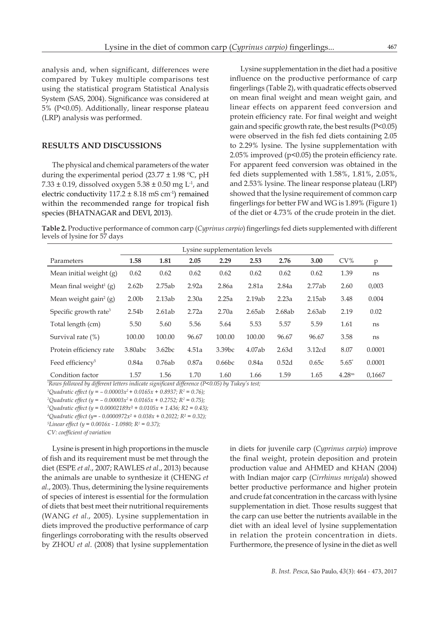analysis and, when significant, differences were compared by Tukey multiple comparisons test using the statistical program Statistical Analysis System (SAS, 2004). Significance was considered at 5% (P<0.05). Additionally, linear response plateau (LRP) analysis was performed.

### **RESULTS AND DISCUSSIONS**

The physical and chemical parameters of the water during the experimental period (23.77  $\pm$  1.98 °C, pH 7.33  $\pm$  0.19, dissolved oxygen 5.38  $\pm$  0.50 mg L<sup>-1</sup>, and electric conductivity  $117.2 \pm 8.18 \text{ mS cm}^{-1}$ ) remained within the recommended range for tropical fish species (BHATNAGAR and DEVI, 2013).

Lysine supplementation in the diet had a positive influence on the productive performance of carp fingerlings (Table 2), with quadratic effects observed on mean final weight and mean weight gain, and linear effects on apparent feed conversion and protein efficiency rate. For final weight and weight gain and specific growth rate, the best results (P<0.05) were observed in the fish fed diets containing 2.05 to 2.29% lysine. The lysine supplementation with 2.05% improved (p<0.05) the protein efficiency rate. For apparent feed conversion was obtained in the fed diets supplemented with 1.58%, 1.81%, 2.05%, and 2.53% lysine. The linear response plateau (LRP) showed that the lysine requirement of common carp fingerlings for better FW and WG is 1.89% (Figure 1) of the diet or 4.73% of the crude protein in the diet.

**Table 2.** Productive performance of common carp (*Cyprinus carpio*) fingerlings fed diets supplemented with different levels of lysine for 57 days

|                                   | Lysine supplementation levels |        |       |        |        |        |        |                    |        |
|-----------------------------------|-------------------------------|--------|-------|--------|--------|--------|--------|--------------------|--------|
| Parameters                        | 1.58                          | 1.81   | 2.05  | 2.29   | 2.53   | 2.76   | 3.00   | $CV\%$             | p      |
| Mean initial weight (g)           | 0.62                          | 0.62   | 0.62  | 0.62   | 0.62   | 0.62   | 0.62   | 1.39               | ns     |
| Mean final weight $(g)$           | 2.62 <sub>b</sub>             | 2.75ab | 2.92a | 2.86a  | 2.81a  | 2.84a  | 2.77ab | 2.60               | 0,003  |
| Mean weight gain <sup>2</sup> (g) | 2.00 <sub>b</sub>             | 2.13ab | 2.30a | 2.25a  | 2.19ab | 2.23a  | 2.15ab | 3.48               | 0.004  |
| Specific growth rate <sup>3</sup> | 2.54b                         | 2.61ab | 2.72a | 2.70a  | 2.65ab | 2.68ab | 2.63ab | 2.19               | 0.02   |
| Total length (cm)                 | 5.50                          | 5.60   | 5.56  | 5.64   | 5.53   | 5.57   | 5.59   | 1.61               | ns     |
| Survival rate $(\%)$              | 100.00                        | 100.00 | 96.67 | 100.00 | 100.00 | 96.67  | 96.67  | 3.58               | ns     |
| Protein efficiency rate           | 3.80abc                       | 3.62bc | 4.51a | 3.39bc | 4.07ab | 2.63d  | 3.12cd | 8.07               | 0.0001 |
| Feed efficiency <sup>5</sup>      | 0.84a                         | 0.76ab | 0.87a | 0.66bc | 0.84a  | 0.52d  | 0.65c  | $5.65*$            | 0.0001 |
| Condition factor                  | 1.57                          | 1.56   | 1.70  | 1.60   | 1.66   | 1.59   | 1.65   | 4.28 <sup>ns</sup> | 0.1667 |

*\* Rows followed by different letters indicate significant difference (P<0.05) by Tukey's test;*

*1 Quadratic effect (y = – 0.00003x2 + 0.0165x + 0.8937; R2 = 0.76);*

*2 Quadratic effect (y = – 0.00003x2 + 0.0165x + 0.2752; R2 = 0.75);*

*3 Quadratic effect (y = 0.00002189x*² *+ 0.0105x + 1.436; R2 = 0.43);*

*4 Quadratic effect (y= - 0.0000972x² + 0.038x + 0.2022; R² = 0.32);*

*5 Linear effect (y = 0.0016x - 1.0980; R2 = 0.37);*

*CV: coefficient of variation*

Lysine is present in high proportions in the muscle of fish and its requirement must be met through the diet (ESPE *et al*., 2007; RAWLES *et al*., 2013) because the animals are unable to synthesize it (CHENG *et al*., 2003). Thus, determining the lysine requirements of species of interest is essential for the formulation of diets that best meet their nutritional requirements (WANG *et al*., 2005). Lysine supplementation in diets improved the productive performance of carp fingerlings corroborating with the results observed by ZHOU *et al*. (2008) that lysine supplementation in diets for juvenile carp (*Cyprinus carpio*) improve the final weight, protein deposition and protein production value and AHMED and KHAN (2004) with Indian major carp (*Cirrhinus mrigala*) showed better productive performance and higher protein and crude fat concentration in the carcass with lysine supplementation in diet. Those results suggest that the carp can use better the nutrients available in the diet with an ideal level of lysine supplementation in relation the protein concentration in diets. Furthermore, the presence of lysine in the diet as well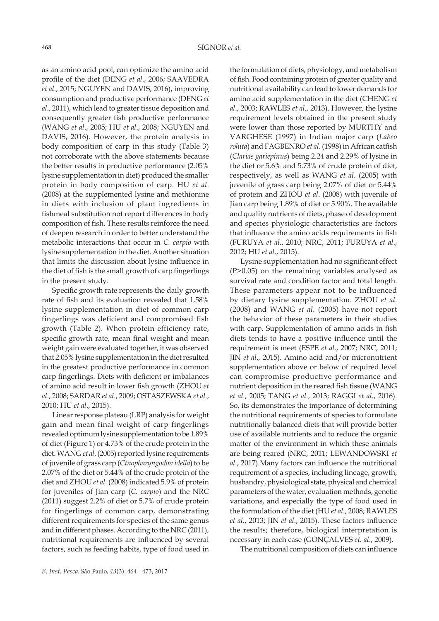as an amino acid pool, can optimize the amino acid profile of the diet (DENG *et al*., 2006; SAAVEDRA *et al*., 2015; NGUYEN and DAVIS, 2016), improving consumption and productive performance (DENG *et al*., 2011), which lead to greater tissue deposition and consequently greater fish productive performance (WANG *et al*., 2005; HU *et al*., 2008; NGUYEN and DAVIS, 2016). However, the protein analysis in body composition of carp in this study (Table 3) not corroborate with the above statements because the better results in productive performance (2.05% lysine supplementation in diet) produced the smaller protein in body composition of carp. HU *et al*. (2008) at the supplemented lysine and methionine in diets with inclusion of plant ingredients in fishmeal substitution not report differences in body composition of fish. These results reinforce the need of deepen research in order to better understand the metabolic interactions that occur in *C. carpio* with lysine supplementation in the diet. Another situation that limits the discussion about lysine influence in the diet of fish is the small growth of carp fingerlings in the present study.

Specific growth rate represents the daily growth rate of fish and its evaluation revealed that 1.58% lysine supplementation in diet of common carp fingerlings was deficient and compromised fish growth (Table 2). When protein efficiency rate, specific growth rate, mean final weight and mean weight gain were evaluated together, it was observed that 2.05% lysine supplementation in the diet resulted in the greatest productive performance in common carp fingerlings. Diets with deficient or imbalances of amino acid result in lower fish growth (ZHOU *et al*., 2008; SARDAR *et al*., 2009; OSTASZEWSKA *et al*., 2010; HU *et al*., 2015).

Linear response plateau (LRP) analysis for weight gain and mean final weight of carp fingerlings revealed optimum lysine supplementation to be 1.89% of diet (Figure 1) or 4.73% of the crude protein in the diet. WANG *et al*. (2005) reported lysine requirements of juvenile of grass carp (*Ctnopharyngodon idella*) to be 2.07% of the diet or 5.44% of the crude protein of the diet and ZHOU *et al*. (2008) indicated 5.9% of protein for juveniles of Jian carp (*C. carpio*) and the NRC (2011) suggest 2.2% of diet or 5.7% of crude protein for fingerlings of common carp, demonstrating different requirements for species of the same genus and in different phases. According to the NRC (2011), nutritional requirements are influenced by several factors, such as feeding habits, type of food used in

the formulation of diets, physiology, and metabolism of fish. Food containing protein of greater quality and nutritional availability can lead to lower demands for amino acid supplementation in the diet (CHENG *et al*., 2003; RAWLES *et al*., 2013). However, the lysine requirement levels obtained in the present study were lower than those reported by MURTHY and VARGHESE (1997) in Indian major carp (*Labeo rohita*) and FAGBENRO *et al*. (1998) in African catfish (*Clarias gariepinus*) being 2.24 and 2.29% of lysine in the diet or 5.6% and 5.73% of crude protein of diet, respectively, as well as WANG *et al*. (2005) with juvenile of grass carp being 2.07% of diet or 5.44% of protein and ZHOU *et al*. (2008) with juvenile of Jian carp being 1.89% of diet or 5.90%. The available and quality nutrients of diets, phase of development and species physiologic characteristics are factors that influence the amino acids requirements in fish (FURUYA *et al*., 2010; NRC, 2011; FURUYA *et al*., 2012; HU *et al*., 2015).

Lysine supplementation had no significant effect (P>0.05) on the remaining variables analysed as survival rate and condition factor and total length. These parameters appear not to be influenced by dietary lysine supplementation. ZHOU *et al*. (2008) and WANG *et al*. (2005) have not report the behavior of these parameters in their studies with carp. Supplementation of amino acids in fish diets tends to have a positive influence until the requirement is meet (ESPE *et al*., 2007; NRC, 2011; JIN *et al*., 2015). Amino acid and/or micronutrient supplementation above or below of required level can compromise productive performance and nutrient deposition in the reared fish tissue (WANG *et al*., 2005; TANG *et al*., 2013; RAGGI *et al*., 2016). So, its demonstrates the importance of determining the nutritional requirements of species to formulate nutritionally balanced diets that will provide better use of available nutrients and to reduce the organic matter of the environment in which these animals are being reared (NRC, 2011; LEWANDOWSKI *et al*., 2017).Many factors can influence the nutritional requirement of a species, including lineage, growth, husbandry, physiological state, physical and chemical parameters of the water, evaluation methods, genetic variations, and especially the type of food used in the formulation of the diet (HU *et al*., 2008; RAWLES *et al*., 2013; JIN *et al*., 2015). These factors influence the results; therefore, biological interpretation is necessary in each case (GONÇALVES *et. al*., 2009).

The nutritional composition of diets can influence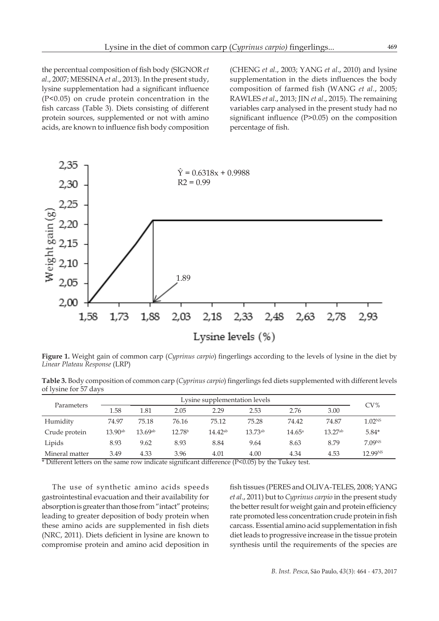the percentual composition of fish body (SIGNOR *et al*., 2007; MESSINA *et al*., 2013). In the present study, lysine supplementation had a significant influence (P<0.05) on crude protein concentration in the fish carcass (Table 3). Diets consisting of different protein sources, supplemented or not with amino acids, are known to influence fish body composition (CHENG *et al*., 2003; YANG *et al*., 2010) and lysine supplementation in the diets influences the body composition of farmed fish (WANG *et al*., 2005; RAWLES *et al*., 2013; JIN *et al*., 2015). The remaining variables carp analysed in the present study had no significant influence (P>0.05) on the composition percentage of fish.



**Figure 1.** Weight gain of common carp (*Cyprinus carpio*) fingerlings according to the levels of lysine in the diet by *Linear Plateau Response* (LRP)

**Table 3.** Body composition of common carp (*Cyprinus carpio*) fingerlings fed diets supplemented with different levels of lysine for 57 days

| Parameters     |              | Lysine supplementation levels |                    |              |              |                 |              |                     |  |  |
|----------------|--------------|-------------------------------|--------------------|--------------|--------------|-----------------|--------------|---------------------|--|--|
|                | 1.58         | 1.81                          | 2.05               | 2.29         | 2.53         | 2.76            | 3.00         | CV%                 |  |  |
| Humidity       | 74.97        | 75.18                         | 76.16              | 75.12        | 75.28        | 74.42           | 74.87        | 1.02 <sup>NS</sup>  |  |  |
| Crude protein  | $13.90^{ab}$ | $13.69^{ab}$                  | 12.78 <sup>b</sup> | $14.42^{ab}$ | $13.73^{ab}$ | $14.65^{\circ}$ | $13.27^{ab}$ | $5.84*$             |  |  |
| Lipids         | 8.93         | 9.62                          | 8.93               | 8.84         | 9.64         | 8.63            | 8.79         | 7.09 <sup>NS</sup>  |  |  |
| Mineral matter | 3.49         | 4.33                          | 3.96               | 4.01         | 4.00         | 4.34            | 4.53         | 12.99 <sup>NS</sup> |  |  |

\* Different letters on the same row indicate significant difference (P<0.05) by the Tukey test.

The use of synthetic amino acids speeds gastrointestinal evacuation and their availability for absorption is greater than those from "intact" proteins; leading to greater deposition of body protein when these amino acids are supplemented in fish diets (NRC, 2011). Diets deficient in lysine are known to compromise protein and amino acid deposition in fish tissues (PERES and OLIVA-TELES, 2008; YANG *et al*., 2011) but to *Cyprinus carpio* in the present study the better result for weight gain and protein efficiency rate promoted less concentration crude protein in fish carcass. Essential amino acid supplementation in fish diet leads to progressive increase in the tissue protein synthesis until the requirements of the species are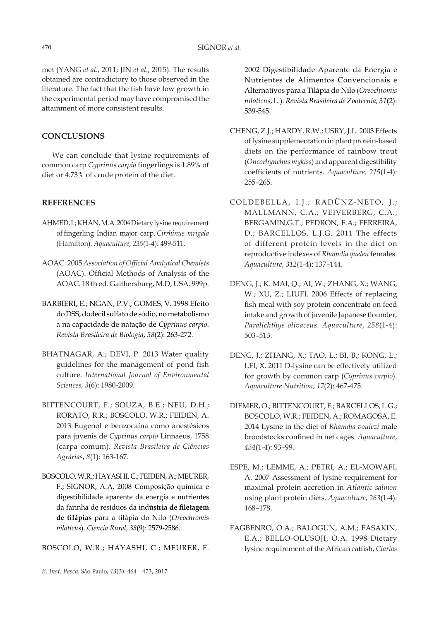met (YANG *et al*., 2011; JIN *et al*., 2015). The results obtained are contradictory to those observed in the literature. The fact that the fish have low growth in the experimental period may have compromised the attainment of more consistent results.

# **CONCLUSIONS**

We can conclude that lysine requirements of common carp *Cyprinus carpio* fingerlings is 1.89% of diet or 4.73% of crude protein of the diet.

## **REFERENCES**

- AHMED, I.; KHAN, M.A. 2004 Dietary lysine requirement of fingerling Indian major carp, *Cirrhinus mrigala* (Hamilton). *Aquaculture*, *235*(1-4): 499-511.
- AOAC. 2005 *Association of Official Analytical Chemists* (AOAC). Official Methods of Analysis of the AOAC. 18 th ed. Gaithersburg, M.D, USA. 999p.
- BARBIERI, E.; NGAN, P.V.; GOMES, V. 1998 Efeito do DSS, dodecil sulfato de sódio, no metabolismo a na capacidade de natação de *Cyprinus carpio*. *Revista Brasileira de Biologia*, *58*(2): 263-272.
- BHATNAGAR, A.; DEVI, P. 2013 Water quality guidelines for the management of pond fish culture. *International Journal of Environmental Sciences*, *3*(6): 1980-2009.
- BITTENCOURT, F.; SOUZA, B.E.; NEU, D.H.; RORATO, R.R.; BOSCOLO, W.R.; FEIDEN, A. 2013 Eugenol e benzocaína como anestésicos para juvenis de *Cyprinus carpio* Linnaeus, 1758 (carpa comum). *Revista Brasileira de Ciências Agrárias*, *8*(1): 163-167.
- BOSCOLO, W.R.; HAYASHI, C.; FEIDEN, A.; MEURER, F.; SIGNOR, A.A. 2008 Composição química e digestibilidade aparente da energia e nutrientes da farinha de resíduos da ind**ústria de filetagem de tilápias** para a tilápia do Nilo (*Oreochromis niloticus*). *Ciencia Rural*, *38*(9): 2579-2586.

BOSCOLO, W.R.; HAYASHI, C.; MEURER, F.

*B. Inst. Pesca*, São Paulo, *43*(3): 464 - 473, 2017

2002 Digestibilidade Aparente da Energia e Nutrientes de Alimentos Convencionais e Alternativos para a Tilápia do Nilo (*Oreochromis niloticus*, L.). *Revista Brasileira de Zootecnia, 31*(2): 539-545.

- CHENG, Z.J.; HARDY, R.W.; USRY, J.L. 2003 Effects of lysine supplementation in plant protein-based diets on the performance of rainbow trout (*Oncorhynchus mykiss*) and apparent digestibility coefficients of nutrients. *Aquaculture, 215*(1-4): 255–265.
- COLDEBELLA, I.J.; RADÜNZ-NETO, J.; MALLMANN, C.A.; VEIVERBERG, C.A.; BERGAMIN,G.T.; PEDRON, F.A.; FERREIRA, D.; BARCELLOS, L.J.G. 2011 The effects of different protein levels in the diet on reproductive indexes of *Rhamdia quelen* females. *Aquaculture*, *312*(1-4): 137–144.
- DENG, J.; K. MAI, Q.; AI, W.; ZHANG, X.; WANG, W.; XU, Z.; LIUFI. 2006 Effects of replacing fish meal with soy protein concentrate on feed intake and growth of juvenile Japanese flounder, *Paralichthys olivaceus*. *Aquaculture*, *258*(1-4): 503–513.
- DENG, J.; ZHANG, X.; TAO, L.; BI, B.; KONG, L.; LEI, X. 2011 D-lysine can be effectively utilized for growth by common carp (*Cyprinus carpio*). *Aquaculture Nutrition*, *17*(2): 467-475.
- DIEMER, O.; BITTENCOURT, F.; BARCELLOS, L.G.; BOSCOLO, W.R.; FEIDEN, A.; ROMAGOSA, E. 2014 Lysine in the diet of *Rhamdia voulezi* male broodstocks confined in net cages. *Aquaculture*, *434*(1-4): 93–99.
- ESPE, M.; LEMME, A.; PETRI, A.; EL-MOWAFI, A. 2007 Assessment of lysine requirement for maximal protein accretion in *Atlantic salmon* using plant protein diets. *Aquaculture*, *263*(1-4): 168–178.
- FAGBENRO, O.A.; BALOGUN, A.M.; FASAKIN, E.A.; BELLO-OLUSOJI, O.A. 1998 Dietary lysine requirement of the African catfish, *Clarias*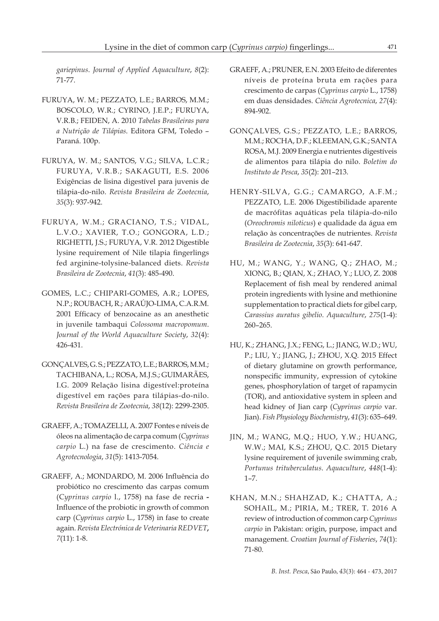*gariepinus*. *Journal of Applied Aquaculture*, *8*(2): 71-77.

- FURUYA, W. M.; PEZZATO, L.E.; BARROS, M.M.; BOSCOLO, W.R.; CYRINO, J.E.P.; FURUYA, V.R.B.; FEIDEN, A. 2010 *Tabelas Brasileiras para a Nutrição de Tilápias*. Editora GFM, Toledo – Paraná. 100p.
- FURUYA, W. M.; SANTOS, V.G.; SILVA, L.C.R.; FURUYA, V.R.B.; SAKAGUTI, E.S. 2006 Exigências de lisina digestível para juvenis de tilápia-do-nilo. *Revista Brasileira de Zootecnia*, *35*(3): 937-942.
- FURUYA, W.M.; GRACIANO, T.S.; VIDAL, L.V.O.; XAVIER, T.O.; GONGORA, L.D.; RIGHETTI, J.S.; FURUYA, V.R. 2012 Digestible lysine requirement of Nile tilapia fingerlings fed arginine-tolysine-balanced diets. *Revista Brasileira de Zootecnia*, *41*(3): 485-490.
- GOMES, L.C.; CHIPARI-GOMES, A.R.; LOPES, N.P.; ROUBACH, R.; ARAÚJO-LIMA, C.A.R.M. 2001 Efficacy of benzocaine as an anesthetic in juvenile tambaqui *Colossoma macropomum*. *Journal of the World Aquaculture Society*, *32*(4): 426-431.
- GONÇALVES, G. S.; PEZZATO, L.E.; BARROS, M.M.; TACHIBANA, L.; ROSA, M.J.S.; GUIMARÃES, I.G. 2009 Relação lisina digestível:proteína digestível em rações para tilápias-do-nilo. *Revista Brasileira de Zootecnia*, *38*(12): 2299-2305.
- GRAEFF, A.; TOMAZELLI, A. 2007 Fontes e níveis de óleos na alimentação de carpa comum (*Cyprinus carpio* L.) na fase de crescimento. *Ciência e Agrotecnologia*, *31*(5): 1413-7054.
- GRAEFF, A.; MONDARDO, M. 2006 Influência do probiótico no crescimento das carpas comum (C*yprinus carpio* l., 1758) na fase de recria **-**  Influence of the probiotic in growth of common carp (*Cyprinus carpio* L., 1758) in fase to create again. *Revista Electrónica de Veterinaria REDVET***,**  *7*(11): 1-8.
- GRAEFF, A.; PRUNER, E.N. 2003 Efeito de diferentes níveis de proteína bruta em rações para crescimento de carpas (*Cyprinus carpio* L., 1758) em duas densidades. *Ciência Agrotecnica*, *27*(4): 894-902.
- GONÇALVES, G.S.; PEZZATO, L.E.; BARROS, M.M.; ROCHA, D.F.; KLEEMAN, G.K.; SANTA ROSA, M.J. 2009 Energia e nutrientes digestíveis de alimentos para tilápia do nilo. *Boletim do Instituto de Pesca*, *35*(2): 201–213.
- HENRY-SILVA, G.G.; CAMARGO, A.F.M.; PEZZATO, L.E. 2006 Digestibilidade aparente de macrófitas aquáticas pela tilápia-do-nilo (*Oreochromis niloticus*) e qualidade da água em relação às concentrações de nutrientes. *Revista Brasileira de Zootecnia*, *35*(3): 641-647.
- HU, M.; WANG, Y.; WANG, Q.; ZHAO, M.; XIONG, B.; QIAN, X.; ZHAO, Y.; LUO, Z. 2008 Replacement of fish meal by rendered animal protein ingredients with lysine and methionine supplementation to practical diets for gibel carp, *Carassius auratus gibelio*. *Aquaculture*, *275*(1-4): 260–265.
- HU, K.; ZHANG, J.X.; FENG, L.; JIANG, W.D.; WU, P.; LIU, Y.; JIANG, J.; ZHOU, X.Q. 2015 Effect of dietary glutamine on growth performance, nonspecific immunity, expression of cytokine genes, phosphorylation of target of rapamycin (TOR), and antioxidative system in spleen and head kidney of Jian carp (*Cyprinus carpio* var. Jian). *Fish Physiology Biochemistry*, *41*(3): 635–649.
- JIN, M.; WANG, M.Q.; HUO, Y.W.; HUANG, W.W.; MAI, K.S.; ZHOU, Q.C. 2015 Dietary lysine requirement of juvenile swimming crab, *Portunus trituberculatus*. *Aquaculture*, *448*(1-4): 1–7.
- KHAN, M.N.; SHAHZAD, K.; CHATTA, A.; SOHAIL, M.; PIRIA, M.; TRER, T. 2016 A review of introduction of common carp *Cyprinus carpio* in Pakistan: origin, purpose, impact and management. *Croatian Journal of Fisheries*, *74*(1): 71-80.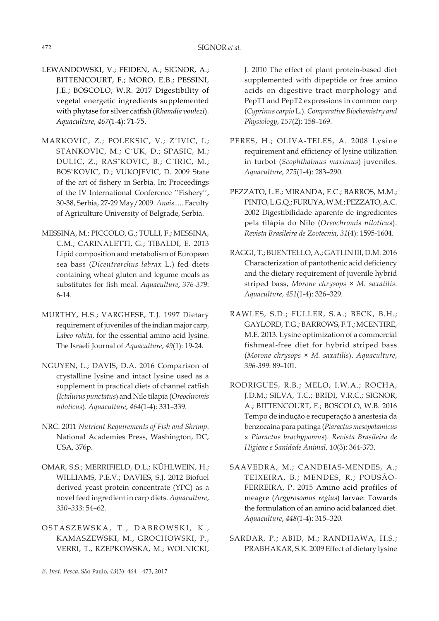- LEWANDOWSKI, V.; FEIDEN, A.; SIGNOR, A.; BITTENCOURT, F.; MORO, E.B.; PESSINI, J.E.; BOSCOLO, W.R. 2017 Digestibility of vegetal energetic ingredients supplemented with phytase for silver catfish (*Rhamdia voulezi*). *Aquaculture*, *467*(1-4): 71-75.
- MARKOVIC, Z.; POLEKSIC, V.; ZˇIVIC, I.; STANKOVIC, M.; C´UK, D.; SPASIC, M.; DULIC, Z.; RASˇKOVIC, B.; C´IRIC, M.; BOSˇKOVIC, D.; VUKOJEVIC, D. 2009 State of the art of fishery in Serbia. In: Proceedings of the IV International Conference ''Fishery'', 30-38, Serbia, 27-29 May/2009. *Anais*..... Faculty of Agriculture University of Belgrade, Serbia.
- MESSINA, M.; PICCOLO, G.; TULLI, F.; MESSINA, C.M.; CARINALETTI, G.; TIBALDI, E. 2013 Lipid composition and metabolism of European sea bass (*Dicentrarchus labrax* L.) fed diets containing wheat gluten and legume meals as substitutes for fish meal. *Aquaculture*, *376-379*: 6-14.
- MURTHY, H.S.; VARGHESE, T.J. 1997 Dietary requirement of juveniles of the indian major carp, *Labeo rohita*, for the essential amino acid lysine. The Israeli Journal of *Aquaculture*, *49*(1): 19-24.
- NGUYEN, L.; DAVIS, D.A. 2016 Comparison of crystalline lysine and intact lysine used as a supplement in practical diets of channel catfish (*Ictalurus punctatus*) and Nile tilapia (*Oreochromis niloticus*). *Aquaculture*, *464*(1-4): 331–339.
- NRC. 2011 *Nutrient Requirements of Fish and Shrimp*. National Academies Press, Washington, DC, USA, 376p.
- OMAR, S.S.; MERRIFIELD, D.L.; KÜHLWEIN, H.; WILLIAMS, P.E.V.; DAVIES, S.J. 2012 Biofuel derived yeast protein concentrate (YPC) as a novel feed ingredient in carp diets. *Aquaculture*, *330–333*: 54–62.
- OSTASZEWSKA, T., DABROWSKI, K., KAMASZEWSKI, M., GROCHOWSKI, P., VERRI, T., RZEPKOWSKA, M.; WOLNICKI,

J. 2010 The effect of plant protein-based diet supplemented with dipeptide or free amino acids on digestive tract morphology and PepT1 and PepT2 expressions in common carp (*Cyprinus carpio* L.). *Comparative Biochemistry and Physiology*, *157*(2): 158–169.

- PERES, H.; OLIVA-TELES, A. 2008 Lysine requirement and efficiency of lysine utilization in turbot (*Scophthalmus maximus*) juveniles. *Aquaculture*, *275*(1-4): 283–290.
- PEZZATO, L.E.; MIRANDA, E.C.; BARROS, M.M.; PINTO, L.G.Q.; FURUYA, W.M.; PEZZATO, A.C. 2002 Digestibilidade aparente de ingredientes pela tilápia do Nilo (*Oreochromis niloticus*). *Revista Brasileira de Zootecnia*, *31*(4): 1595-1604.
- RAGGI, T.; BUENTELLO, A.; GATLIN III, D.M. 2016 Characterization of pantothenic acid deficiency and the dietary requirement of juvenile hybrid striped bass, *Morone chrysops* × *M. saxatilis*. *Aquaculture*, *451*(1-4): 326–329.
- RAWLES, S.D.; FULLER, S.A.; BECK, B.H.; GAYLORD, T.G.; BARROWS, F.T.; MCENTIRE, M.E. 2013. Lysine optimization of a commercial fishmeal-free diet for hybrid striped bass (*Morone chrysops* × *M. saxatilis*). *Aquaculture*, *396-399*: 89–101.
- RODRIGUES, R.B.; MELO, I.W.A.; ROCHA, J.D.M.; SILVA, T.C.; BRIDI, V.R.C.; SIGNOR, A.; BITTENCOURT, F.; BOSCOLO, W.B. 2016 Tempo de indução e recuperação à anestesia da benzocaína para patinga (*Piaractus mesopotamicus*  x *Piaractus brachypomus*). *Revista Brasileira de Higiene e Sanidade Animal*, *10*(3): 364-373.
- SAAVEDRA, M.; CANDEIAS-MENDES, A.; TEIXEIRA, B.; MENDES, R.; POUSÃO-FERREIRA, P. 2015 Amino acid profiles of meagre (*Argyrosomus regius*) larvae: Towards the formulation of an amino acid balanced diet. *Aquaculture*, *448*(1-4): 315–320.
- SARDAR, P.; ABID, M.; RANDHAWA, H.S.; PRABHAKAR, S.K. 2009 Effect of dietary lysine